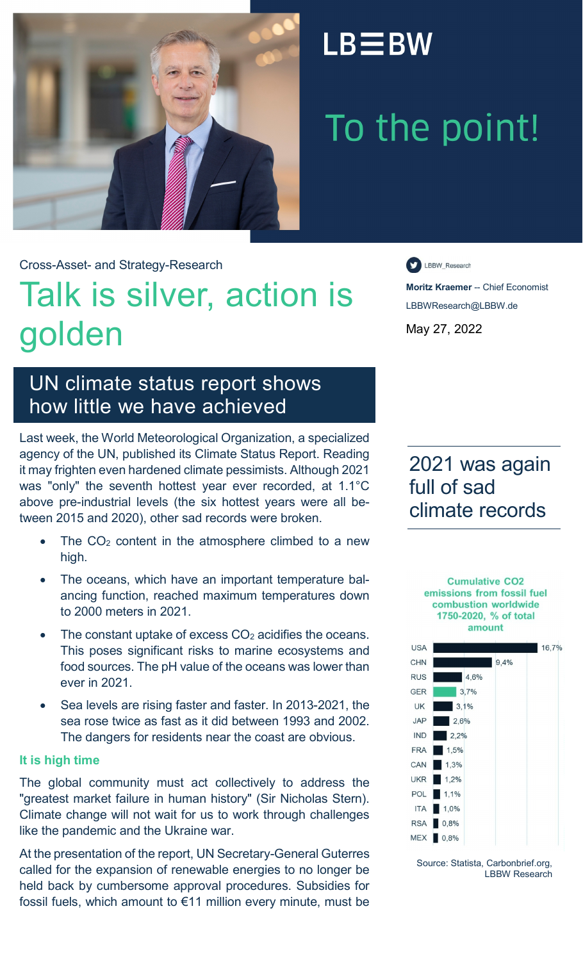

## $LB \equiv BW$

# To the point!

Cross-Asset- and Strategy-Research

## Talk is silver, action is golden

LBBW\_Research

**Moritz Kraemer** -- Chief Economist LBBWResearch@LBBW.de May 27, 2022

### UN climate status report shows how little we have achieved

Last week, the World Meteorological Organization, a specialized agency of the UN, published its Climate Status Report. Reading it may frighten even hardened climate pessimists. Although 2021 was "only" the seventh hottest year ever recorded, at 1.1°C above pre-industrial levels (the six hottest years were all between 2015 and 2020), other sad records were broken.

- The  $CO<sub>2</sub>$  content in the atmosphere climbed to a new high.
- The oceans, which have an important temperature balancing function, reached maximum temperatures down to 2000 meters in 2021.
- The constant uptake of excess  $CO<sub>2</sub>$  acidifies the oceans. This poses significant risks to marine ecosystems and food sources. The pH value of the oceans was lower than ever in 2021.
- Sea levels are rising faster and faster. In 2013-2021, the sea rose twice as fast as it did between 1993 and 2002. The dangers for residents near the coast are obvious.

#### **It is high time**

The global community must act collectively to address the "greatest market failure in human history" (Sir Nicholas Stern). Climate change will not wait for us to work through challenges like the pandemic and the Ukraine war.

At the presentation of the report, UN Secretary-General Guterres called for the expansion of renewable energies to no longer be held back by cumbersome approval procedures. Subsidies for fossil fuels, which amount to €11 million every minute, must be

2021 was again full of sad climate records

> **Cumulative CO2** emissions from fossil fuel combustion worldwide 1750-2020, % of total amount



Source: Statista, Carbonbrief.org, LBBW Research